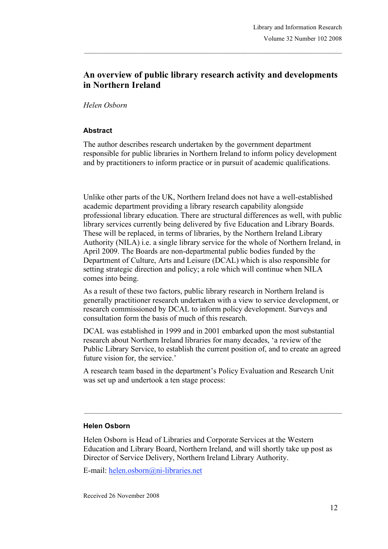# **An overview of public library research activity and developments in Northern Ireland**

### *Helen Osborn*

## **Abstract**

The author describes research undertaken by the government department responsible for public libraries in Northern Ireland to inform policy development and by practitioners to inform practice or in pursuit of academic qualifications.

Unlike other parts of the UK, Northern Ireland does not have a well-established academic department providing a library research capability alongside professional library education. There are structural differences as well, with public library services currently being delivered by five Education and Library Boards. These will be replaced, in terms of libraries, by the Northern Ireland Library Authority (NILA) i.e. a single library service for the whole of Northern Ireland, in April 2009. The Boards are non-departmental public bodies funded by the Department of Culture, Arts and Leisure (DCAL) which is also responsible for setting strategic direction and policy; a role which will continue when NILA comes into being.

As a result of these two factors, public library research in Northern Ireland is generally practitioner research undertaken with a view to service development, or research commissioned by DCAL to inform policy development. Surveys and consultation form the basis of much of this research.

DCAL was established in 1999 and in 2001 embarked upon the most substantial research about Northern Ireland libraries for many decades, 'a review of the Public Library Service, to establish the current position of, and to create an agreed future vision for, the service.'

A research team based in the department's Policy Evaluation and Research Unit was set up and undertook a ten stage process:

 $\_$  , and the state of the state of the state of the state of the state of the state of the state of the state of the state of the state of the state of the state of the state of the state of the state of the state of the

#### **Helen Osborn**

Helen Osborn is Head of Libraries and Corporate Services at the Western Education and Library Board, Northern Ireland, and will shortly take up post as Director of Service Delivery, Northern Ireland Library Authority.

E-mail: helen.osborn@ni-libraries.net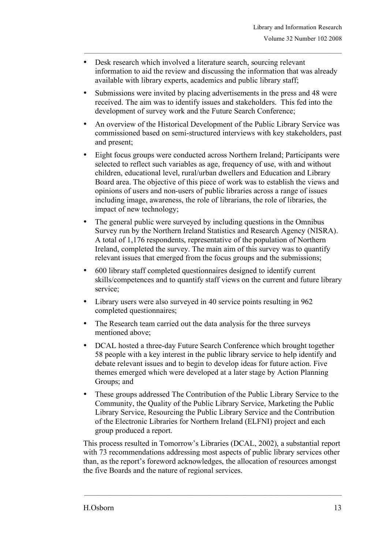- Desk research which involved a literature search, sourcing relevant information to aid the review and discussing the information that was already available with library experts, academics and public library staff;
- Submissions were invited by placing advertisements in the press and 48 were received. The aim was to identify issues and stakeholders. This fed into the development of survey work and the Future Search Conference;
- An overview of the Historical Development of the Public Library Service was commissioned based on semi-structured interviews with key stakeholders, past and present;
- Eight focus groups were conducted across Northern Ireland; Participants were selected to reflect such variables as age, frequency of use, with and without children, educational level, rural/urban dwellers and Education and Library Board area. The objective of this piece of work was to establish the views and opinions of users and non-users of public libraries across a range of issues including image, awareness, the role of librarians, the role of libraries, the impact of new technology;
- The general public were surveyed by including questions in the Omnibus Survey run by the Northern Ireland Statistics and Research Agency (NISRA). A total of 1,176 respondents, representative of the population of Northern Ireland, completed the survey. The main aim of this survey was to quantify relevant issues that emerged from the focus groups and the submissions;
- 600 library staff completed questionnaires designed to identify current skills/competences and to quantify staff views on the current and future library service;
- Library users were also surveyed in 40 service points resulting in 962 completed questionnaires;
- The Research team carried out the data analysis for the three surveys mentioned above;
- DCAL hosted a three-day Future Search Conference which brought together 58 people with a key interest in the public library service to help identify and debate relevant issues and to begin to develop ideas for future action. Five themes emerged which were developed at a later stage by Action Planning Groups; and
- These groups addressed The Contribution of the Public Library Service to the Community, the Quality of the Public Library Service, Marketing the Public Library Service, Resourcing the Public Library Service and the Contribution of the Electronic Libraries for Northern Ireland (ELFNI) project and each group produced a report.

This process resulted in Tomorrow's Libraries (DCAL, 2002), a substantial report with 73 recommendations addressing most aspects of public library services other than, as the report's foreword acknowledges, the allocation of resources amongst the five Boards and the nature of regional services.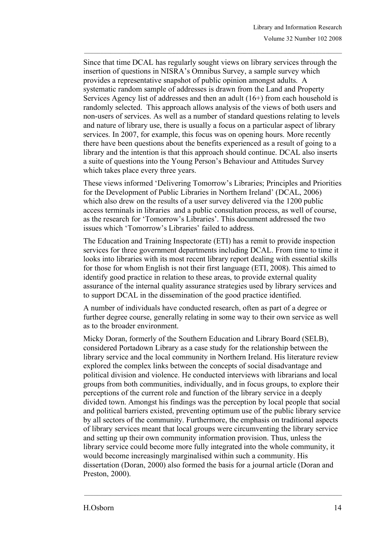Since that time DCAL has regularly sought views on library services through the insertion of questions in NISRA's Omnibus Survey, a sample survey which provides a representative snapshot of public opinion amongst adults. A systematic random sample of addresses is drawn from the Land and Property Services Agency list of addresses and then an adult (16+) from each household is randomly selected. This approach allows analysis of the views of both users and non-users of services. As well as a number of standard questions relating to levels and nature of library use, there is usually a focus on a particular aspect of library services. In 2007, for example, this focus was on opening hours. More recently there have been questions about the benefits experienced as a result of going to a library and the intention is that this approach should continue. DCAL also inserts a suite of questions into the Young Person's Behaviour and Attitudes Survey which takes place every three years.

These views informed 'Delivering Tomorrow's Libraries; Principles and Priorities for the Development of Public Libraries in Northern Ireland' (DCAL, 2006) which also drew on the results of a user survey delivered via the 1200 public access terminals in libraries and a public consultation process, as well of course, as the research for 'Tomorrow's Libraries'. This document addressed the two issues which 'Tomorrow's Libraries' failed to address.

The Education and Training Inspectorate (ETI) has a remit to provide inspection services for three government departments including DCAL. From time to time it looks into libraries with its most recent library report dealing with essential skills for those for whom English is not their first language (ETI, 2008). This aimed to identify good practice in relation to these areas, to provide external quality assurance of the internal quality assurance strategies used by library services and to support DCAL in the dissemination of the good practice identified.

A number of individuals have conducted research, often as part of a degree or further degree course, generally relating in some way to their own service as well as to the broader environment.

Micky Doran, formerly of the Southern Education and Library Board (SELB), considered Portadown Library as a case study for the relationship between the library service and the local community in Northern Ireland. His literature review explored the complex links between the concepts of social disadvantage and political division and violence. He conducted interviews with librarians and local groups from both communities, individually, and in focus groups, to explore their perceptions of the current role and function of the library service in a deeply divided town. Amongst his findings was the perception by local people that social and political barriers existed, preventing optimum use of the public library service by all sectors of the community. Furthermore, the emphasis on traditional aspects of library services meant that local groups were circumventing the library service and setting up their own community information provision. Thus, unless the library service could become more fully integrated into the whole community, it would become increasingly marginalised within such a community. His dissertation (Doran, 2000) also formed the basis for a journal article (Doran and Preston, 2000).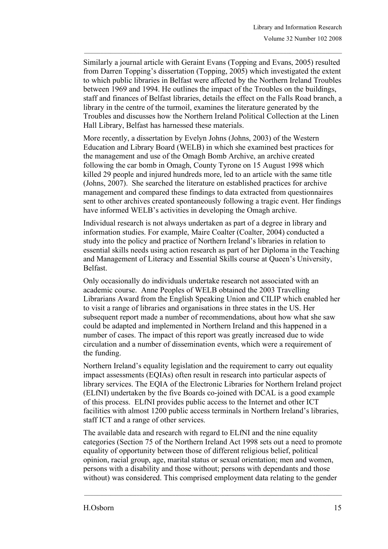Similarly a journal article with Geraint Evans (Topping and Evans, 2005) resulted from Darren Topping's dissertation (Topping, 2005) which investigated the extent to which public libraries in Belfast were affected by the Northern Ireland Troubles between 1969 and 1994. He outlines the impact of the Troubles on the buildings, staff and finances of Belfast libraries, details the effect on the Falls Road branch, a library in the centre of the turmoil, examines the literature generated by the Troubles and discusses how the Northern Ireland Political Collection at the Linen Hall Library, Belfast has harnessed these materials.

More recently, a dissertation by Evelyn Johns (Johns, 2003) of the Western Education and Library Board (WELB) in which she examined best practices for the management and use of the Omagh Bomb Archive, an archive created following the car bomb in Omagh, County Tyrone on 15 August 1998 which killed 29 people and injured hundreds more, led to an article with the same title (Johns, 2007). She searched the literature on established practices for archive management and compared these findings to data extracted from questionnaires sent to other archives created spontaneously following a tragic event. Her findings have informed WELB's activities in developing the Omagh archive.

Individual research is not always undertaken as part of a degree in library and information studies. For example, Maire Coalter (Coalter, 2004) conducted a study into the policy and practice of Northern Ireland's libraries in relation to essential skills needs using action research as part of her Diploma in the Teaching and Management of Literacy and Essential Skills course at Queen's University, Belfast.

Only occasionally do individuals undertake research not associated with an academic course. Anne Peoples of WELB obtained the 2003 Travelling Librarians Award from the English Speaking Union and CILIP which enabled her to visit a range of libraries and organisations in three states in the US. Her subsequent report made a number of recommendations, about how what she saw could be adapted and implemented in Northern Ireland and this happened in a number of cases. The impact of this report was greatly increased due to wide circulation and a number of dissemination events, which were a requirement of the funding.

Northern Ireland's equality legislation and the requirement to carry out equality impact assessments (EQIAs) often result in research into particular aspects of library services. The EQIA of the Electronic Libraries for Northern Ireland project (ELfNI) undertaken by the five Boards co-joined with DCAL is a good example of this process. ELfNI provides public access to the Internet and other ICT facilities with almost 1200 public access terminals in Northern Ireland's libraries, staff ICT and a range of other services.

The available data and research with regard to ELfNI and the nine equality categories (Section 75 of the Northern Ireland Act 1998 sets out a need to promote equality of opportunity between those of different religious belief, political opinion, racial group, age, marital status or sexual orientation; men and women, persons with a disability and those without; persons with dependants and those without) was considered. This comprised employment data relating to the gender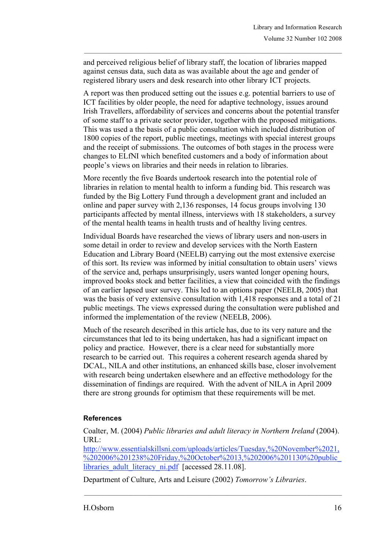and perceived religious belief of library staff, the location of libraries mapped against census data, such data as was available about the age and gender of registered library users and desk research into other library ICT projects.

A report was then produced setting out the issues e.g. potential barriers to use of ICT facilities by older people, the need for adaptive technology, issues around Irish Travellers, affordability of services and concerns about the potential transfer of some staff to a private sector provider, together with the proposed mitigations. This was used a the basis of a public consultation which included distribution of 1800 copies of the report, public meetings, meetings with special interest groups and the receipt of submissions. The outcomes of both stages in the process were changes to ELfNI which benefited customers and a body of information about people's views on libraries and their needs in relation to libraries.

More recently the five Boards undertook research into the potential role of libraries in relation to mental health to inform a funding bid. This research was funded by the Big Lottery Fund through a development grant and included an online and paper survey with 2,136 responses, 14 focus groups involving 130 participants affected by mental illness, interviews with 18 stakeholders, a survey of the mental health teams in health trusts and of healthy living centres.

Individual Boards have researched the views of library users and non-users in some detail in order to review and develop services with the North Eastern Education and Library Board (NEELB) carrying out the most extensive exercise of this sort. Its review was informed by initial consultation to obtain users' views of the service and, perhaps unsurprisingly, users wanted longer opening hours, improved books stock and better facilities, a view that coincided with the findings of an earlier lapsed user survey. This led to an options paper (NEELB, 2005) that was the basis of very extensive consultation with 1,418 responses and a total of 21 public meetings. The views expressed during the consultation were published and informed the implementation of the review (NEELB, 2006).

Much of the research described in this article has, due to its very nature and the circumstances that led to its being undertaken, has had a significant impact on policy and practice. However, there is a clear need for substantially more research to be carried out. This requires a coherent research agenda shared by DCAL, NILA and other institutions, an enhanced skills base, closer involvement with research being undertaken elsewhere and an effective methodology for the dissemination of findings are required. With the advent of NILA in April 2009 there are strong grounds for optimism that these requirements will be met.

# **References**

Coalter, M. (2004) *Public libraries and adult literacy in Northern Ireland* (2004). URL:

http://www.essentialskillsni.com/uploads/articles/Tuesday,%20November%2021, %202006%201238%20Friday,%20October%2013,%202006%201130%20public libraries\_adult\_literacy\_ni.pdf [accessed 28.11.08].

Department of Culture, Arts and Leisure (2002) *Tomorrow's Libraries*.